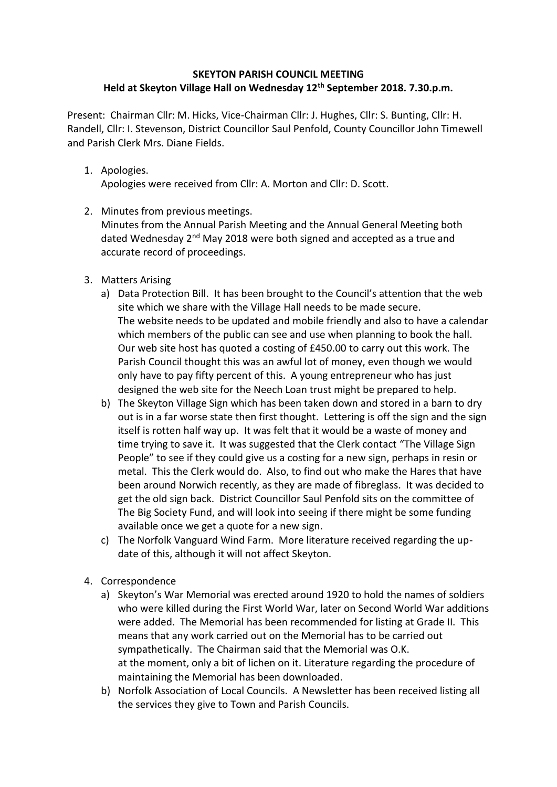## **SKEYTON PARISH COUNCIL MEETING Held at Skeyton Village Hall on Wednesday 12th September 2018. 7.30.p.m.**

Present: Chairman Cllr: M. Hicks, Vice-Chairman Cllr: J. Hughes, Cllr: S. Bunting, Cllr: H. Randell, Cllr: I. Stevenson, District Councillor Saul Penfold, County Councillor John Timewell and Parish Clerk Mrs. Diane Fields.

1. Apologies.

Apologies were received from Cllr: A. Morton and Cllr: D. Scott.

2. Minutes from previous meetings.

Minutes from the Annual Parish Meeting and the Annual General Meeting both dated Wednesday  $2<sup>nd</sup>$  May 2018 were both signed and accepted as a true and accurate record of proceedings.

- 3. Matters Arising
	- a) Data Protection Bill. It has been brought to the Council's attention that the web site which we share with the Village Hall needs to be made secure. The website needs to be updated and mobile friendly and also to have a calendar which members of the public can see and use when planning to book the hall. Our web site host has quoted a costing of £450.00 to carry out this work. The Parish Council thought this was an awful lot of money, even though we would only have to pay fifty percent of this. A young entrepreneur who has just designed the web site for the Neech Loan trust might be prepared to help.
	- b) The Skeyton Village Sign which has been taken down and stored in a barn to dry out is in a far worse state then first thought. Lettering is off the sign and the sign itself is rotten half way up. It was felt that it would be a waste of money and time trying to save it. It was suggested that the Clerk contact "The Village Sign People" to see if they could give us a costing for a new sign, perhaps in resin or metal. This the Clerk would do. Also, to find out who make the Hares that have been around Norwich recently, as they are made of fibreglass. It was decided to get the old sign back. District Councillor Saul Penfold sits on the committee of The Big Society Fund, and will look into seeing if there might be some funding available once we get a quote for a new sign.
	- c) The Norfolk Vanguard Wind Farm. More literature received regarding the update of this, although it will not affect Skeyton.
- 4. Correspondence
	- a) Skeyton's War Memorial was erected around 1920 to hold the names of soldiers who were killed during the First World War, later on Second World War additions were added. The Memorial has been recommended for listing at Grade II. This means that any work carried out on the Memorial has to be carried out sympathetically. The Chairman said that the Memorial was O.K. at the moment, only a bit of lichen on it. Literature regarding the procedure of maintaining the Memorial has been downloaded.
	- b) Norfolk Association of Local Councils. A Newsletter has been received listing all the services they give to Town and Parish Councils.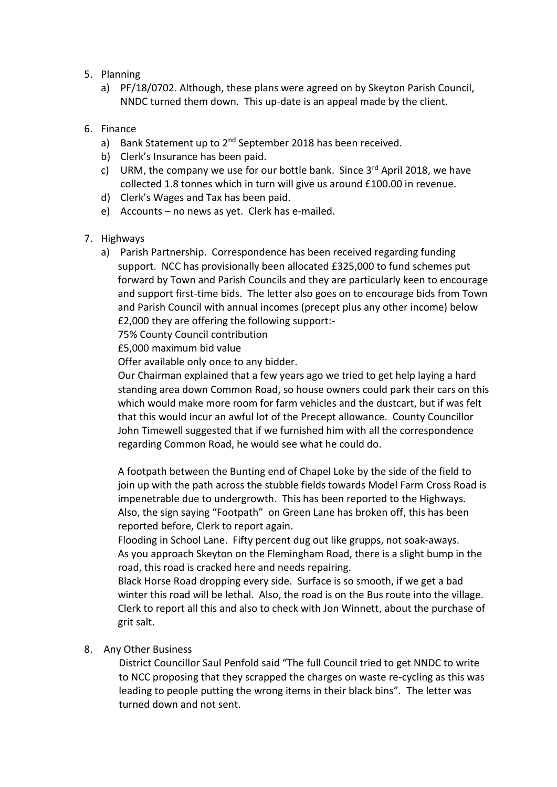- 5. Planning
	- a) PF/18/0702. Although, these plans were agreed on by Skeyton Parish Council, NNDC turned them down. This up-date is an appeal made by the client.
- 6. Finance
	- a) Bank Statement up to 2<sup>nd</sup> September 2018 has been received.
	- b) Clerk's Insurance has been paid.
	- c) URM, the company we use for our bottle bank. Since  $3^{rd}$  April 2018, we have collected 1.8 tonnes which in turn will give us around £100.00 in revenue.
	- d) Clerk's Wages and Tax has been paid.
	- e) Accounts no news as yet. Clerk has e-mailed.
- 7. Highways
	- a) Parish Partnership. Correspondence has been received regarding funding support. NCC has provisionally been allocated £325,000 to fund schemes put forward by Town and Parish Councils and they are particularly keen to encourage and support first-time bids. The letter also goes on to encourage bids from Town and Parish Council with annual incomes (precept plus any other income) below £2,000 they are offering the following support:-

75% County Council contribution

£5,000 maximum bid value

Offer available only once to any bidder.

Our Chairman explained that a few years ago we tried to get help laying a hard standing area down Common Road, so house owners could park their cars on this which would make more room for farm vehicles and the dustcart, but if was felt that this would incur an awful lot of the Precept allowance. County Councillor John Timewell suggested that if we furnished him with all the correspondence regarding Common Road, he would see what he could do.

A footpath between the Bunting end of Chapel Loke by the side of the field to join up with the path across the stubble fields towards Model Farm Cross Road is impenetrable due to undergrowth. This has been reported to the Highways. Also, the sign saying "Footpath" on Green Lane has broken off, this has been reported before, Clerk to report again.

Flooding in School Lane. Fifty percent dug out like grupps, not soak-aways. As you approach Skeyton on the Flemingham Road, there is a slight bump in the road, this road is cracked here and needs repairing.

Black Horse Road dropping every side. Surface is so smooth, if we get a bad winter this road will be lethal. Also, the road is on the Bus route into the village. Clerk to report all this and also to check with Jon Winnett, about the purchase of grit salt.

## 8. Any Other Business

 District Councillor Saul Penfold said "The full Council tried to get NNDC to write to NCC proposing that they scrapped the charges on waste re-cycling as this was leading to people putting the wrong items in their black bins". The letter was turned down and not sent.